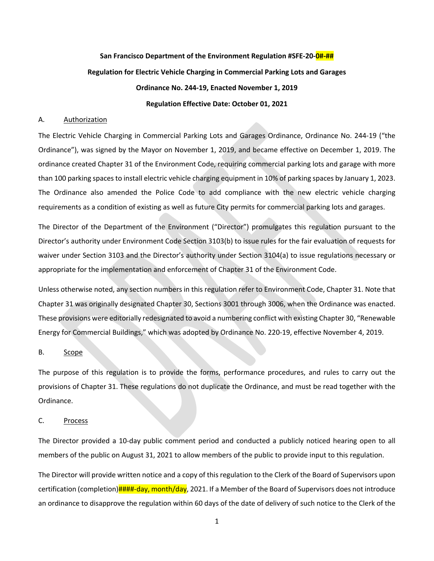## **San Francisco Department of the Environment Regulation #SFE-20-0#-## Regulation for Electric Vehicle Charging in Commercial Parking Lots and Garages Ordinance No. 244-19, Enacted November 1, 2019 Regulation Effective Date: October 01, 2021**

#### A. Authorization

The Electric Vehicle Charging in Commercial Parking Lots and Garages Ordinance, Ordinance No. 244-19 ("the Ordinance"), was signed by the Mayor on November 1, 2019, and became effective on December 1, 2019. The ordinance created Chapter 31 of the Environment Code, requiring commercial parking lots and garage with more than 100 parking spaces to install electric vehicle charging equipment in 10% of parking spaces by January 1, 2023. The Ordinance also amended the Police Code to add compliance with the new electric vehicle charging requirements as a condition of existing as well as future City permits for commercial parking lots and garages.

The Director of the Department of the Environment ("Director") promulgates this regulation pursuant to the Director's authority under Environment Code Section 3103(b) to issue rules for the fair evaluation of requests for waiver under Section 3103 and the Director's authority under Section 3104(a) to issue regulations necessary or appropriate for the implementation and enforcement of Chapter 31 of the Environment Code.

Unless otherwise noted, any section numbers in this regulation refer to Environment Code, Chapter 31. Note that Chapter 31 was originally designated Chapter 30, Sections 3001 through 3006, when the Ordinance was enacted. These provisions were editorially redesignated to avoid a numbering conflict with existing Chapter 30, "Renewable Energy for Commercial Buildings," which was adopted by Ordinance No. 220-19, effective November 4, 2019.

#### B. Scope

The purpose of this regulation is to provide the forms, performance procedures, and rules to carry out the provisions of Chapter 31. These regulations do not duplicate the Ordinance, and must be read together with the Ordinance.

#### C. Process

The Director provided a 10-day public comment period and conducted a publicly noticed hearing open to all members of the public on August 31, 2021 to allow members of the public to provide input to this regulation.

The Director will provide written notice and a copy of this regulation to the Clerk of the Board of Supervisors upon certification (completion)####-day, month/day, 2021. If a Member of the Board of Supervisors does not introduce an ordinance to disapprove the regulation within 60 days of the date of delivery of such notice to the Clerk of the

1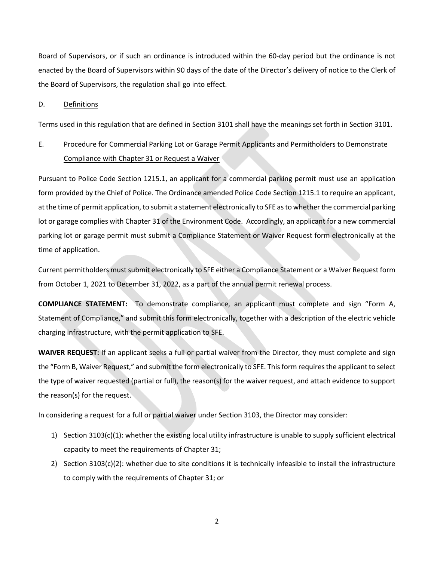Board of Supervisors, or if such an ordinance is introduced within the 60-day period but the ordinance is not enacted by the Board of Supervisors within 90 days of the date of the Director's delivery of notice to the Clerk of the Board of Supervisors, the regulation shall go into effect.

#### D. Definitions

Terms used in this regulation that are defined in Section 3101 shall have the meanings set forth in Section 3101.

### E. Procedure for Commercial Parking Lot or Garage Permit Applicants and Permitholders to Demonstrate Compliance with Chapter 31 or Request a Waiver

Pursuant to Police Code Section 1215.1, an applicant for a commercial parking permit must use an application form provided by the Chief of Police. The Ordinance amended Police Code Section 1215.1 to require an applicant, at the time of permit application, to submit a statement electronically to SFE as to whether the commercial parking lot or garage complies with Chapter 31 of the Environment Code. Accordingly, an applicant for a new commercial parking lot or garage permit must submit a Compliance Statement or Waiver Request form electronically at the time of application.

Current permitholders must submit electronically to SFE either a Compliance Statement or a Waiver Request form from October 1, 2021 to December 31, 2022, as a part of the annual permit renewal process.

**COMPLIANCE STATEMENT:** To demonstrate compliance, an applicant must complete and sign "Form A, Statement of Compliance," and submit this form electronically, together with a description of the electric vehicle charging infrastructure, with the permit application to SFE.

**WAIVER REQUEST:** If an applicant seeks a full or partial waiver from the Director, they must complete and sign the "Form B, Waiver Request," and submit the form electronically to SFE. This form requires the applicant to select the type of waiver requested (partial or full), the reason(s) for the waiver request, and attach evidence to support the reason(s) for the request.

In considering a request for a full or partial waiver under Section 3103, the Director may consider:

- 1) Section 3103(c)(1): whether the existing local utility infrastructure is unable to supply sufficient electrical capacity to meet the requirements of Chapter 31;
- 2) Section 3103(c)(2): whether due to site conditions it is technically infeasible to install the infrastructure to comply with the requirements of Chapter 31; or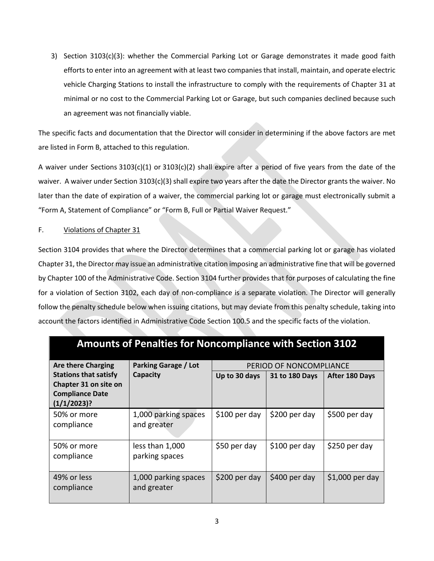3) Section 3103(c)(3): whether the Commercial Parking Lot or Garage demonstrates it made good faith efforts to enter into an agreement with at least two companies that install, maintain, and operate electric vehicle Charging Stations to install the infrastructure to comply with the requirements of Chapter 31 at minimal or no cost to the Commercial Parking Lot or Garage, but such companies declined because such an agreement was not financially viable.

The specific facts and documentation that the Director will consider in determining if the above factors are met are listed in Form B, attached to this regulation.

A waiver under Sections 3103(c)(1) or 3103(c)(2) shall expire after a period of five years from the date of the waiver. A waiver under Section 3103(c)(3) shall expire two years after the date the Director grants the waiver. No later than the date of expiration of a waiver, the commercial parking lot or garage must electronically submit a "Form A, Statement of Compliance" or "Form B, Full or Partial Waiver Request."

#### F. Violations of Chapter 31

Section 3104 provides that where the Director determines that a commercial parking lot or garage has violated Chapter 31, the Director may issue an administrative citation imposing an administrative fine that will be governed by Chapter 100 of the Administrative Code. Section 3104 further provides that for purposes of calculating the fine for a violation of Section 3102, each day of non-compliance is a separate violation. The Director will generally follow the penalty schedule below when issuing citations, but may deviate from this penalty schedule, taking into account the factors identified in Administrative Code Section 100.5 and the specific facts of the violation.

| Amounts of Penafties for Noncompilance with Section 3102                                       |                                     |                         |                |                 |
|------------------------------------------------------------------------------------------------|-------------------------------------|-------------------------|----------------|-----------------|
| <b>Are there Charging</b>                                                                      | <b>Parking Garage / Lot</b>         | PERIOD OF NONCOMPLIANCE |                |                 |
| <b>Stations that satisfy</b><br>Chapter 31 on site on<br><b>Compliance Date</b><br>(1/1/2023)? | Capacity                            | Up to 30 days           | 31 to 180 Days | After 180 Days  |
| 50% or more<br>compliance                                                                      | 1,000 parking spaces<br>and greater | $$100$ per day          | \$200 per day  | \$500 per day   |
| 50% or more<br>compliance                                                                      | less than 1,000<br>parking spaces   | \$50 per day            | \$100 per day  | \$250 per day   |
| 49% or less<br>compliance                                                                      | 1,000 parking spaces<br>and greater | \$200 per day           | \$400 per day  | \$1,000 per day |

## **Amounts of Penalties for Noncompliance with Section 3102**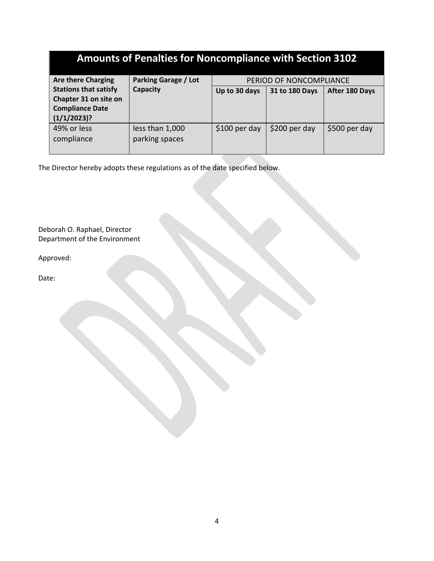| <b>Amounts of Penalties for Noncompliance with Section 3102</b>                                |                                                        |                |                |                |  |
|------------------------------------------------------------------------------------------------|--------------------------------------------------------|----------------|----------------|----------------|--|
| <b>Are there Charging</b>                                                                      | <b>Parking Garage / Lot</b><br>PERIOD OF NONCOMPLIANCE |                |                |                |  |
| <b>Stations that satisfy</b><br>Chapter 31 on site on<br><b>Compliance Date</b><br>(1/1/2023)? | Capacity                                               | Up to 30 days  | 31 to 180 Days | After 180 Days |  |
| 49% or less<br>compliance                                                                      | less than 1,000<br>parking spaces                      | $$100$ per day | \$200 per day  | \$500 per day  |  |

The Director hereby adopts these regulations as of the date specified below.

Deborah O. Raphael, Director Department of the Environment

Approved:

Date: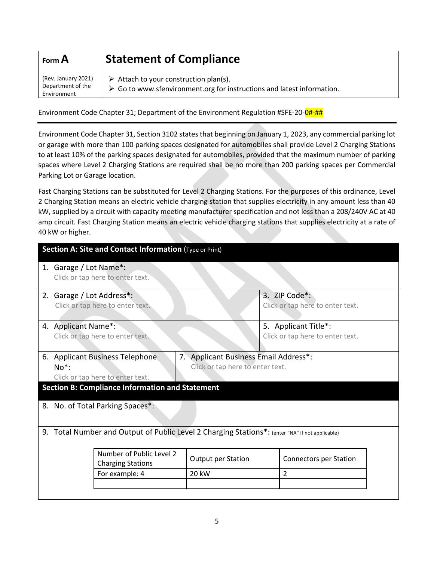| $ $ Form $A$ | <b>Statement of Compliance</b>                                       |
|--------------|----------------------------------------------------------------------|
|              | Rev. January 2021) $\downarrow$ Attach to your construction plan(s). |

Environment

Department of the  $\triangleright$  Go to www.sfenvironment.org for instructions and latest information.

Environment Code Chapter 31; Department of the Environment Regulation #SFE-20-0#-##

Environment Code Chapter 31, Section 3102 states that beginning on January 1, 2023, any commercial parking lot or garage with more than 100 parking spaces designated for automobiles shall provide Level 2 Charging Stations to at least 10% of the parking spaces designated for automobiles, provided that the maximum number of parking spaces where Level 2 Charging Stations are required shall be no more than 200 parking spaces per Commercial Parking Lot or Garage location.

Fast Charging Stations can be substituted for Level 2 Charging Stations. For the purposes of this ordinance, Level 2 Charging Station means an electric vehicle charging station that supplies electricity in any amount less than 40 kW, supplied by a circuit with capacity meeting manufacturer specification and not less than a 208/240V AC at 40 amp circuit. Fast Charging Station means an electric vehicle charging stations that supplies electricity at a rate of 40 kW or higher.

| Section A: Site and Contact Information (Type or Print) |                                                                                              |                                  |                                  |  |
|---------------------------------------------------------|----------------------------------------------------------------------------------------------|----------------------------------|----------------------------------|--|
|                                                         | 1. Garage / Lot Name*:                                                                       |                                  |                                  |  |
|                                                         | Click or tap here to enter text.                                                             |                                  |                                  |  |
|                                                         | 2. Garage / Lot Address*:                                                                    |                                  | 3. ZIP Code*:                    |  |
|                                                         | Click or tap here to enter text.                                                             |                                  | Click or tap here to enter text. |  |
|                                                         | 4. Applicant Name*:                                                                          |                                  | 5. Applicant Title*:             |  |
|                                                         | Click or tap here to enter text.                                                             |                                  | Click or tap here to enter text. |  |
|                                                         |                                                                                              |                                  |                                  |  |
|                                                         | 7. Applicant Business Email Address*:<br>6. Applicant Business Telephone                     |                                  |                                  |  |
|                                                         | $No*$ :                                                                                      | Click or tap here to enter text. |                                  |  |
|                                                         | Click or tap here to enter text.                                                             |                                  |                                  |  |
|                                                         | <b>Section B: Compliance Information and Statement</b>                                       |                                  |                                  |  |
|                                                         | 8. No. of Total Parking Spaces*:                                                             |                                  |                                  |  |
|                                                         |                                                                                              |                                  |                                  |  |
| 9.                                                      | Total Number and Output of Public Level 2 Charging Stations*: (enter "NA" if not applicable) |                                  |                                  |  |
|                                                         |                                                                                              |                                  |                                  |  |
|                                                         | Number of Public Level 2                                                                     | Output per Station               | <b>Connectors per Station</b>    |  |
|                                                         | <b>Charging Stations</b>                                                                     |                                  |                                  |  |
|                                                         | For example: 4                                                                               | 20 kW                            | 2                                |  |
|                                                         |                                                                                              |                                  |                                  |  |
|                                                         |                                                                                              |                                  |                                  |  |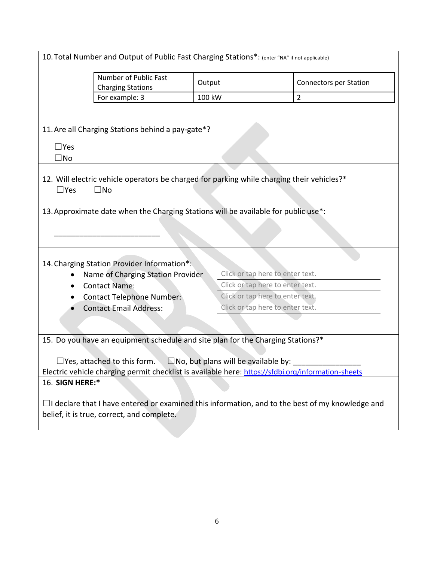| 10. Total Number and Output of Public Fast Charging Stations*: (enter "NA" if not applicable)                                                                                                                                                                                                |                                  |                               |  |
|----------------------------------------------------------------------------------------------------------------------------------------------------------------------------------------------------------------------------------------------------------------------------------------------|----------------------------------|-------------------------------|--|
| Number of Public Fast<br>Output<br><b>Charging Stations</b>                                                                                                                                                                                                                                  |                                  | <b>Connectors per Station</b> |  |
| For example: 3                                                                                                                                                                                                                                                                               | 100 kW<br>$\overline{2}$         |                               |  |
| 11. Are all Charging Stations behind a pay-gate*?<br>$\square$ Yes<br>$\square$ No                                                                                                                                                                                                           |                                  |                               |  |
| 12. Will electric vehicle operators be charged for parking while charging their vehicles?*<br>$\Box$ Yes<br>$\square$ No                                                                                                                                                                     |                                  |                               |  |
| 13. Approximate date when the Charging Stations will be available for public use*:                                                                                                                                                                                                           |                                  |                               |  |
| 14. Charging Station Provider Information*:<br>Click or tap here to enter text.<br>Name of Charging Station Provider                                                                                                                                                                         |                                  |                               |  |
| <b>Contact Name:</b><br>$\bullet$                                                                                                                                                                                                                                                            | Click or tap here to enter text. |                               |  |
| <b>Contact Telephone Number:</b>                                                                                                                                                                                                                                                             | Click or tap here to enter text. |                               |  |
| <b>Contact Email Address:</b>                                                                                                                                                                                                                                                                | Click or tap here to enter text. |                               |  |
|                                                                                                                                                                                                                                                                                              |                                  |                               |  |
| 15. Do you have an equipment schedule and site plan for the Charging Stations?*<br>$\Box$ No, but plans will be available by:<br>$\Box$ Yes, attached to this form.<br>Electric vehicle charging permit checklist is available here: https://sfdbi.org/information-sheets<br>16. SIGN HERE:* |                                  |                               |  |
| $\Box$ I declare that I have entered or examined this information, and to the best of my knowledge and<br>belief, it is true, correct, and complete.                                                                                                                                         |                                  |                               |  |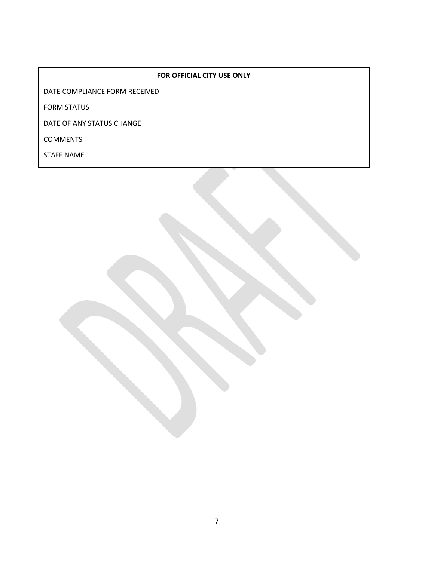#### **FOR OFFICIAL CITY USE ONLY**

DATE COMPLIANCE FORM RECEIVED

FORM STATUS

DATE OF ANY STATUS CHANGE

COMMENTS

STAFF NAME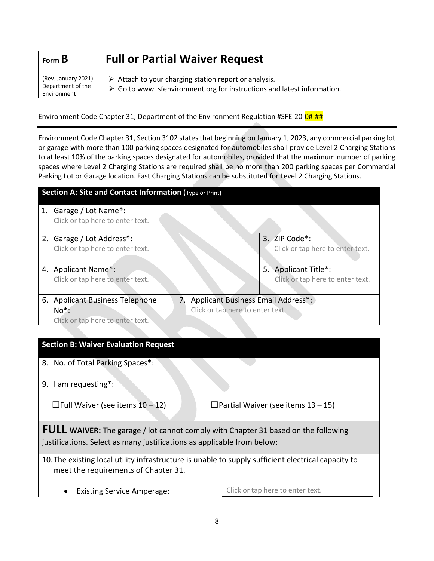| Form $B$                                                | <b>Full or Partial Waiver Request</b>                                                                                                                          |
|---------------------------------------------------------|----------------------------------------------------------------------------------------------------------------------------------------------------------------|
| (Rev. January 2021)<br>Department of the<br>Environment | $\triangleright$ Attach to your charging station report or analysis.<br>$\triangleright$ Go to www. sfenvironment.org for instructions and latest information. |

Environment Code Chapter 31; Department of the Environment Regulation #SFE-20-0#-##

Environment Code Chapter 31, Section 3102 states that beginning on January 1, 2023, any commercial parking lot or garage with more than 100 parking spaces designated for automobiles shall provide Level 2 Charging Stations to at least 10% of the parking spaces designated for automobiles, provided that the maximum number of parking spaces where Level 2 Charging Stations are required shall be no more than 200 parking spaces per Commercial Parking Lot or Garage location. Fast Charging Stations can be substituted for Level 2 Charging Stations.

| Section A: Site and Contact Information (Type or Print)    |                                    |                                  |  |
|------------------------------------------------------------|------------------------------------|----------------------------------|--|
| 1. Garage / Lot Name*:<br>Click or tap here to enter text. |                                    |                                  |  |
| 2. Garage / Lot Address*:                                  |                                    | 3. ZIP Code*:                    |  |
| Click or tap here to enter text.                           |                                    | Click or tap here to enter text. |  |
|                                                            |                                    |                                  |  |
| 4. Applicant Name*:                                        |                                    | Applicant Title*:<br>5.          |  |
| Click or tap here to enter text.                           |                                    | Click or tap here to enter text. |  |
| 6. Applicant Business Telephone                            | Applicant Business Email Address*: |                                  |  |
| $No*$ :                                                    | Click or tap here to enter text.   |                                  |  |
| Click or tap here to enter text.                           |                                    |                                  |  |

# **Section B: Waiver Evaluation Request** 8. No. of Total Parking Spaces\*: 9. I am requesting\*:  $\Box$  Full Waiver (see items 10 – 12)  $\Box$  Partial Waiver (see items 13 – 15) **FULL WAIVER:** The garage / lot cannot comply with Chapter 31 based on the following justifications. Select as many justifications as applicable from below: 10.The existing local utility infrastructure is unable to supply sufficient electrical capacity to meet the requirements of Chapter 31.

• Existing Service Amperage: Click or tap here to enter text.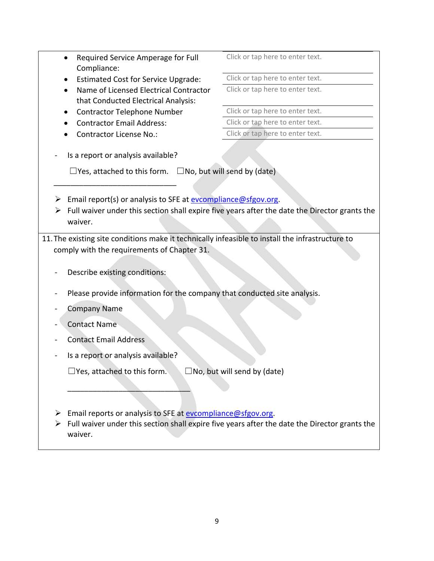|        | Required Service Amperage for Full<br>$\bullet$<br>Compliance:                                                                                               | Click or tap here to enter text.                                                              |  |
|--------|--------------------------------------------------------------------------------------------------------------------------------------------------------------|-----------------------------------------------------------------------------------------------|--|
|        | <b>Estimated Cost for Service Upgrade:</b>                                                                                                                   | Click or tap here to enter text.                                                              |  |
|        | Name of Licensed Electrical Contractor<br>that Conducted Electrical Analysis:                                                                                | Click or tap here to enter text.                                                              |  |
|        | <b>Contractor Telephone Number</b>                                                                                                                           | Click or tap here to enter text.                                                              |  |
|        | <b>Contractor Email Address:</b>                                                                                                                             | Click or tap here to enter text.                                                              |  |
|        | <b>Contractor License No.:</b>                                                                                                                               | Click or tap here to enter text.                                                              |  |
|        | Is a report or analysis available?<br>$\Box$ Yes, attached to this form. $\Box$ No, but will send by (date)                                                  |                                                                                               |  |
| ➤<br>➤ | Email report(s) or analysis to SFE at evcompliance@sfgov.org.<br>waiver.                                                                                     | Full waiver under this section shall expire five years after the date the Director grants the |  |
|        | 11. The existing site conditions make it technically infeasible to install the infrastructure to                                                             |                                                                                               |  |
|        | comply with the requirements of Chapter 31.                                                                                                                  |                                                                                               |  |
|        | Describe existing conditions:                                                                                                                                |                                                                                               |  |
|        | Please provide information for the company that conducted site analysis.                                                                                     |                                                                                               |  |
|        | <b>Company Name</b>                                                                                                                                          |                                                                                               |  |
|        | <b>Contact Name</b>                                                                                                                                          |                                                                                               |  |
|        | <b>Contact Email Address</b>                                                                                                                                 |                                                                                               |  |
|        | Is a report or analysis available?                                                                                                                           |                                                                                               |  |
|        | $\Box$ Yes, attached to this form.                                                                                                                           | $\Box$ No, but will send by (date)                                                            |  |
|        |                                                                                                                                                              |                                                                                               |  |
| ➤      | Email reports or analysis to SFE at evcompliance@sfgov.org.<br>Full waiver under this section shall expire five years after the date the Director grants the |                                                                                               |  |
|        | waiver.                                                                                                                                                      |                                                                                               |  |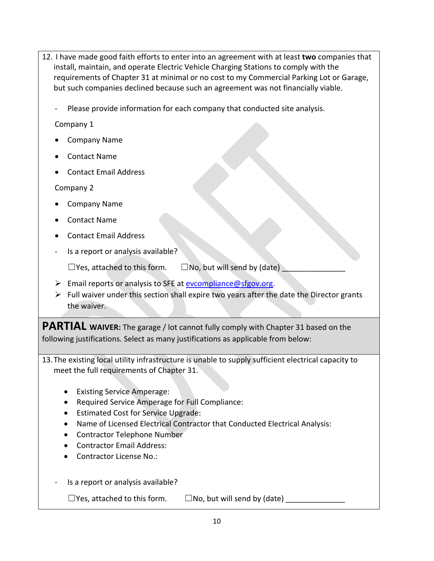- 12. I have made good faith efforts to enter into an agreement with at least **two** companies that install, maintain, and operate Electric Vehicle Charging Stations to comply with the requirements of Chapter 31 at minimal or no cost to my Commercial Parking Lot or Garage, but such companies declined because such an agreement was not financially viable.
	- Please provide information for each company that conducted site analysis.

Company 1

- Company Name
- Contact Name
- Contact Email Address

Company 2

- Company Name
- Contact Name
- Contact Email Address
- Is a report or analysis available?

 $\Box$  Yes, attached to this form.  $\Box$  No, but will send by (date)

- Email reports or analysis to SFE at evcompliance@sfgov.org.
- $\triangleright$  Full waiver under this section shall expire two years after the date the Director grants the waiver.

**PARTIAL WAIVER:** The garage / lot cannot fully comply with Chapter 31 based on the following justifications. Select as many justifications as applicable from below:

- 13.The existing local utility infrastructure is unable to supply sufficient electrical capacity to meet the full requirements of Chapter 31.
	- Existing Service Amperage:
	- Required Service Amperage for Full Compliance:
	- Estimated Cost for Service Upgrade:
	- Name of Licensed Electrical Contractor that Conducted Electrical Analysis:
	- Contractor Telephone Number
	- Contractor Email Address:
	- Contractor License No.: Contractor License No.:
	- Is a report or analysis available?

 $\Box$  Yes, attached to this form.  $\Box$  No, but will send by (date)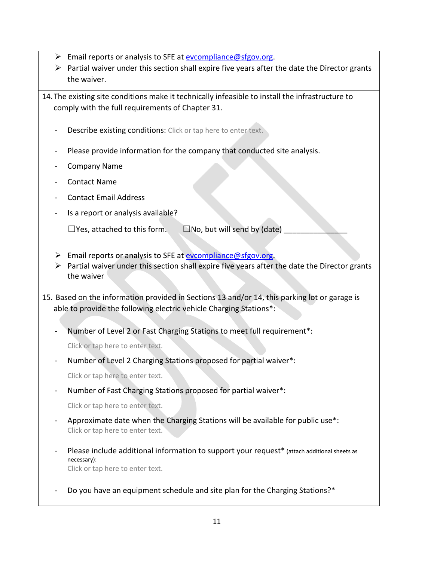- $\triangleright$  Email reports or analysis to SFE at evcompliance@sfgov.org.
- $\triangleright$  Partial waiver under this section shall expire five years after the date the Director grants the waiver.

14.The existing site conditions make it technically infeasible to install the infrastructure to comply with the full requirements of Chapter 31.

- Describe existing conditions: Click or tap here to enter text.
- Please provide information for the company that conducted site analysis.
- Company Name
- Contact Name
- Contact Email Address
- Is a report or analysis available?

 $\Box$  Yes, attached to this form.  $\Box$  No, but will send by (date)

- $\triangleright$  Email reports or analysis to SFE at evcompliance @sfgov.org.
- $\triangleright$  Partial waiver under this section shall expire five years after the date the Director grants the waiver

15. Based on the information provided in Sections 13 and/or 14, this parking lot or garage is able to provide the following electric vehicle Charging Stations\*:

Number of Level 2 or Fast Charging Stations to meet full requirement\*:

Click or tap here to enter text.

Number of Level 2 Charging Stations proposed for partial waiver\*:

Click or tap here to enter text.

- Number of Fast Charging Stations proposed for partial waiver\*:

Click or tap here to enter text.

- Approximate date when the Charging Stations will be available for public use\*: Click or tap here to enter text.
- Please include additional information to support your request\* (attach additional sheets as necessary): Click or tap here to enter text.
- Do you have an equipment schedule and site plan for the Charging Stations?\*